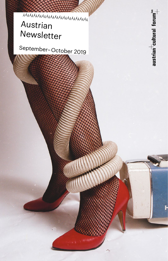

September– October 2019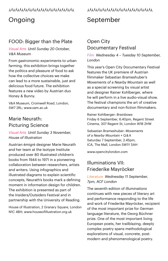### YyYyYyYyYyYyYyYyYyYyYyYyYyYyYyY

# Ongoing

## FOOD: Bigger than the Plate

*Visual Arts Until Sunday 20 October, V& A Museum*

From gastronomic experiments to urban farming, this exhibition brings together the politics and pleasure of food to ask how the collective choices we make can lead to a more sustainable, just and delicious food future. The exhibition features a new video by Austrian duo Honey & Bunny.

V& A Museum, Cromwell Road, London, SW7 2RL; www.vam.ac.uk

## Marie Neurath: Picturing Science

*Visual Arts Until Sunday 3 November, House of Illustration*

Austrian émigré designer Marie Neurath and her team at the Isotype Institute produced over 80 illustrated children's books from 1944 to 1971 in a pioneering collaboration between researchers, artists and writers. Using infographics and illustrated diagrams to explain scientific concepts, Neurath's books mark a defining moment in information design for children. The exhibition is presented as part of the Insiders/Outsiders Festival and in partnership with the University of Reading.

House of Illustration, 2 Granary Square, London N1C 4BH; www.houseofillustration.org.uk

## YyYyYyYyYyYyYyYyYyYyYyYyYyYyYyY

# September

## Open City Documentary Festival

*Film Wednesday 4 – Tuesday 10 September, London*

This year's Open City Documentary Festival features the UK premiere of Austrian filmmaker Sebastian Brameshuber's *Movements of a Nearby Mountain* as well as a special screening by visual artist and designer Rainer Kohlberger, where he will perform in a live audio-visual show. The festival champions the art of creative documentary and non-fiction filmmakers.

Rainer Kohlberger: *Brainbows* Friday 6 September, 6.40pm, Regent Street Cinema, 307 Regent St, London W1B 2HW

Sebastian Brameshuber: *Movements of a Nearby Mountain* + Q & A Saturday 7 September, 2.45pm, ICA, The Mall, London SW1Y 5AH

www.opencitylondon.com

## Illuminations VII: Friederike Mayröcker

*Literature Wednesday 11 September, 7pm, ACF London*

The seventh edition of *Illuminations* continues with new pieces of literary art and performance responding to the life and work of Friederike Mayröcker, recipient of the most important prize for German language literature, the Georg Büchner prize. One of the most important living European poets, her trailblazing, deeply complex poetry spans methodological explorations of visual, concrete, postmodern and phenomenological poetry.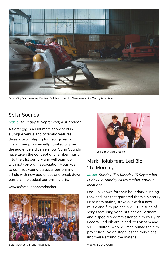

Open City Documentary Festival: Still from the film *Movements of a Nearby Mountain*

## Sofar Sounds

#### *Music Thursday 12 September, ACF London*

A Sofar gig is an intimate show held in a unique venue and typically features three artists, playing four songs each. Every line-up is specially curated to give the audience a diverse show. Sofar Sounds have taken the concept of chamber music into the 21st century and will team up with not-for-profit association Mousikos to connect young classical performing artists with new audiences and break down barriers in classical performing arts.

www.sofarsounds.com/london



Sofar Sounds © Bruna Magalhaes



Led Bib © Matt Crossick

## Mark Holub feat. Led Bib 'It's Morning'

*Music Sunday 15 & Monday 16 September, Friday 8 & Sunday 24 November, various locations*

Led Bib, known for their boundary-pushing rock and jazz that garnered them a Mercury Prize nomination, strike out with a new music and film project in 2019 – a suite of songs featuring vocalist Sharron Fortnam and a specially commissioned film by Dylan Pecora. Led Bib are joined by Fortnam and VJ Oli Chilton, who will manipulate the film projection live on stage, as the musicians improvise around the material.

www.ledbib.com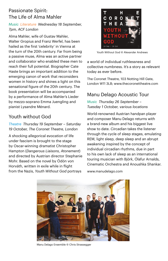## Passionate Spirit: The Life of Alma Mahler

*Music Literature Wednesday 18 September, 7pm, ACF London*

Alma Mahler, wife of Gustav Mahler, Walter Gropius and Franz Werfel, has been hailed as the first 'celebrity' in Vienna at the turn of the 20th century. Far from being a passive muse, Alma was an active partner and collaborator who enabled these men to reach their full potential. Biographer Cate Haste brings an important addition to the emerging canon of work that reconsiders women in history and shines a light on this sensational figure of the 20th century. The book presentation will be accompanied by a performance of Alma Mahler's Lieder by mezzo-soprano Emma Juengling and pianist Lysandre Ménard.

## Youth without God

#### *Theatre Thursday 19 September – Saturday 19 October, The Coronet Theatre, London*

A shocking allegorical evocation of life under fascism is brought to the stage by Oscar-winning dramatist Christopher Hampton (*Dangerous Liaisons*, *Atonement*) and directed by Austrian director Stephanie Mohr. Based on the novel by Ödön von Horváth, written in exile while in flight from the Nazis, *Youth Without God* portrays



Youth Without God © Alexander Andrews

a world of individual ruthlessness and collective numbness. It's a story as relevant today as ever before.

The Coronet Theatre, 103 Notting Hill Gate, London W11 3LB; www.thecoronettheatre.com

## Manu Delago Acoustic Tour

#### *Music Thursday 26 September – Tuesday 1 October, various locations*

World-renowned Austrian handpan player and composer Manu Delago returns with a brand-new album and his biggest live show to date. *Circadian* takes the listener through the cycle of sleep stages, emulating REM, light sleep, deep sleep and an abrupt awakening inspired by the concept of individual circadian rhythms, due in part to his own lack of sleep as an international touring musician with Björk, Ólafur Arnalds, Cinematic Orchestra and Anoushka Shankar.

www.manudelago.com



Manu Delago Ensemble © Chris Strassegger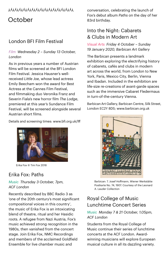# **October**

## London BFI Film Festival

### *Film Wednesday 2 – Sunday 13 October, London*

As in previous years a number of Austrian films will be screened at the BFI London Film Festival. Jessica Hausner's wellreceived *Little Joe*, whose lead actress Emily Beecham won the award for Best Actress at the Cannes Film Festival, and filmmaking duo Veronika Franz and Severin Fiala's new horror film *The Lodge*, premiered at this year's Sundance Film Festival, will be screened alongside several Austrian short films.

Details and screening times: www.bfi.org.uk/lff



Erika Fox © Tim Fox 2018

## Erika Fox: Paths

*Music Thursday 3 October, 7pm, ACF London*

Recently described by BBC Radio 3 as 'one of the 20th century's most significant compositional voices in this country', the music of Erika Fox is an intoxicating blend of theatre, ritual and her Hasidic roots. A refugee from Nazi Austria, Fox's music achieved strong recognition in the 1980s, then vanished from the concert stage. Join Erika Fox, NMC Recordings and members of the acclaimed Goldfield Ensemble for live chamber music and

YyYyYyYyYyYyYyYyYyYyYyYyYyYyYyY conversation, celebrating the launch of Fox's debut album *Paths* on the day of her 83rd birthday.

## Into the Night: Cabarets & Clubs in Modern Art

*Visual Arts Friday 4 October – Sunday 19 January 2020, Barbican Art Gallery*

The Barbican presents a landmark exhibition exploring the electrifying history of cabarets, cafés and clubs in modern art across the world, from London to New York, Paris, Mexico City, Berlin, Vienna and Ibadan. Included in the exhibition are life-size re-creations of avant-garde spaces such as the immersive Cabaret Fledermaus in turn-of-the-century Vienna.

Barbican Art Gallery, Barbican Centre, Silk Street, London EC2Y 8DS; www.barbican.org.uk



Barbican: 7. Josef Hoffmann, Wiener Werkstätte Postkarte No. 74, 1907. Courtesy of the Leonard A. Lauder Collection

## Royal College of Music Lunchtime Concert Series

#### *Music Monday 7 & 21 October, 1.05pm, ACF London*

Students from the Royal College of Music continue their series of lunchtime concerts at the ACF London. Awardwinning musicians will explore European musical culture in all its dazzling variety.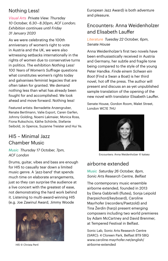## Nothing Less!

*Visual Arts Private View: Thursday 10 October, 6.30 – 8.30pm, ACF London; Exhibition continues until Friday 31 January 2020*

As we were celebrating the 100th anniversary of women's right to vote in Austria and the UK, we were also witnessing setbacks internationally in the rights of women due to conservative turns in politics. The exhibition *Nothing Less! 100 Years of Women's Suffrage* questions what constitutes women's rights today and galvanises feminist legacies that are often taken for granted. We demand nothing less than what has already been fought for and accomplished. We look ahead and move forward. Nothing less!

Featured artists: Bernadette Anzengruber, Renate Bertlmann, Valie Export, Caren Garfen, Johnny Golding, Noemi Lakmaier, Monica Ross, Fiona Rukschcio, Käthe Schönle, Stefanie Seibold, Jo Spence, Suzanne Treister and Hui Ye.

## HI5 – Minimal Jazz Chamber Music

*Music Thursday 17 October, 7pm, ACF London*

Drums, guitar, vibes and bass are enough for HI5 to casually tear down a limited music genre. A 'jazz-band' that spends much time on elaborate arrangements, just so they can surprise the audience at a live concert with the greatest of ease, not demonstrating the hard work behind it. Listening to multi-award-winning HI5 (e.g. Joe Zawinul Award, Jimmy Woode



HI5 © Christa Pertl

European Jazz Award) is both adventure and pleasure.

## Encounters: Anna Weidenholzer and Elisabeth Lauffer

#### *Literature Tuesday 22 October, 6pm, Senate House*

Anna Weidenholzer's first two novels have been enthusiastically received in Austria and Germany, her subtle and fragile tone being compared to the style of the young Peter Handke. *Finde einem Schwan ein Boot* (Find a Swan a Boat) is her third novel, hot off the press. The author will present and discuss an as-yet unpublished sample translation of the opening of the new novel with translator Elisabeth Lauffer.

Senate House, Gordon Room, Malet Street, London WC1E 7HU



Encounters: Anna Weidenholzer © katsey

## airborne extended

*Music Saturday 26 October, 8pm, Sonic Arts Research Centre, Belfast*

The contemporary music ensemble airborne extended, founded in 2013 by Elena Gabbrielli (flutes), Sonja Leipold (harpsichord/keyboard), Caroline Mayrhofer (recorders/Paetzold) and Tina Žerdin (harp) present emerging composers including two world premieres by Adam McCartney and David Brenmer, at Tempered Festival in Belfast.

Sonic Lab, Sonic Arts Research Centre (SARC): 4 Cloreen Park, Belfast BT9 5BQ www.caroline-mayrhofer.net/english/ airborne-extended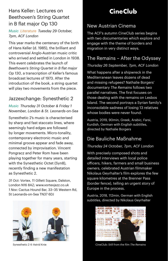## Hans Keller: Lectures on Beethoven's String Quartet in B flat major Op 130

### *Music Literature Tuesday 29 October, 7pm, ACF London*

This year marks the centenary of the birth of Hans Keller (d. 1985), the brilliant and controversial Anglo-Austrian music critic who arrived and settled in London in 1938. This event celebrates the launch of *Beethoven's String Quartet in B flat major Op 130*, a transcription of Keller's famous broadcast lectures of 1973. After the introduction of the book, a string quartet will play two movements from the piece.

## Jazzexchange: Synesthetic 2

*Music Thursday 31 October & Friday 1 November, London & St. Leonards-on-Sea*

Synesthetic 2's music is characterised by sharp and fast staccato lines, where seemingly hard edges are followed by longer movements. Micro-tonality, contemporary electronic music and minimal groove appear and fade away, connected by improvisation. Vincent Pongracz and Peter Rom have been playing together for many years, starting with the Synesthetic Octet (Syn8), recently finding a new manifestation as Synesthetic 2.

*31 Oct*: Vortex, 11 Gillett Square, Dalston, London N16 8AZ; www.vortexjazz.co.uk *1 Nov*: Cactus Hound Bar, 33–35 Western Rd, St Leonards-on-Sea TN37 6DJ



Synesthetic 2 © Astrid Knie

# **CineClub**

## New Austrian Cinema

The ACF's autumn CineClub series begins with two documentaries which explore and engage with the theme of borders and migration in very distinct ways.

## The Remains – After the Odyssey

### *Thursday 26 September, 7pm, ACF London*

What happens after a shipwreck in the Mediterranean leaves dozens of dead and missing refugees? Nathalie Borgers' documentary *The Remains* follows two parallel narratives. The first focuses on those dealing with the remains on Lesbos Island. The second portrays a Syrian family's inconsolable sadness of losing 13 relatives whose bodies were never found.

Austria, 2019, 90min, Greek, Arabic, Farsi, Kurdish, German with English subtitles, directed by Nathalie Borgers

## Die Bauliche Maßnahme

### *Thursday 24 October, 7pm, ACF London*

With precisely composed shots and detailed interviews with local police officers, hikers, farmers and small business owners, celebrated Austrian filmmaker Nikolaus Geyrhalter's film explores the few square kilometres at the Brenner Pass (border fence), telling an urgent story of Europe in the process.

Austria, 2018, 112min, German with English subtitles, directed by Nikolaus Geyrhalter



CineClub: Still from the film *The Remains*